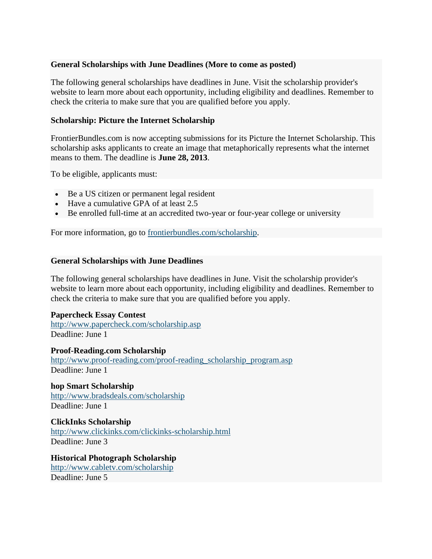## **General Scholarships with June Deadlines (More to come as posted)**

The following general scholarships have deadlines in June. Visit the scholarship provider's website to learn more about each opportunity, including eligibility and deadlines. Remember to check the criteria to make sure that you are qualified before you apply.

# **Scholarship: Picture the Internet Scholarship**

FrontierBundles.com is now accepting submissions for its Picture the Internet Scholarship. This scholarship asks applicants to create an image that metaphorically represents what the internet means to them. The deadline is **June 28, 2013**.

To be eligible, applicants must:

- Be a US citizen or permanent legal resident
- Have a cumulative GPA of at least 2.5
- Be enrolled full-time at an accredited two-year or four-year college or university

For more information, go to [frontierbundles.com/scholarship.](http://frontierbundles.com/scholarship)

## **General Scholarships with June Deadlines**

The following general scholarships have deadlines in June. Visit the scholarship provider's website to learn more about each opportunity, including eligibility and deadlines. Remember to check the criteria to make sure that you are qualified before you apply.

#### **Papercheck Essay Contest**

<http://www.papercheck.com/scholarship.asp> Deadline: June 1

**Proof-Reading.com Scholarship** [http://www.proof-reading.com/proof-reading\\_scholarship\\_program.asp](http://www.proof-reading.com/proof-reading_scholarship_program.asp) Deadline: June 1

**hop Smart Scholarship** <http://www.bradsdeals.com/scholarship> Deadline: June 1

**ClickInks Scholarship** <http://www.clickinks.com/clickinks-scholarship.html> Deadline: June 3

**Historical Photograph Scholarship** <http://www.cabletv.com/scholarship> Deadline: June 5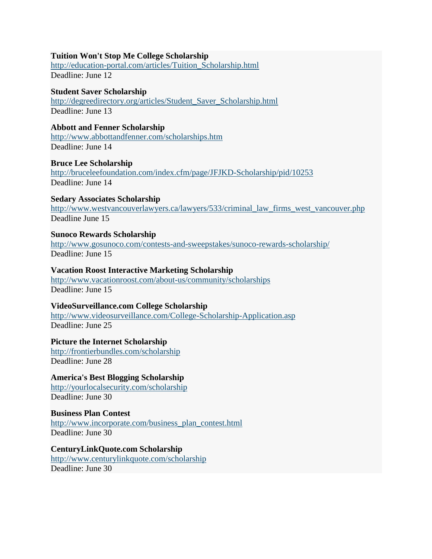### **Tuition Won't Stop Me College Scholarship**

[http://education-portal.com/articles/Tuition\\_Scholarship.html](http://education-portal.com/articles/Tuition_Scholarship.html) Deadline: June 12

#### **Student Saver Scholarship**

[http://degreedirectory.org/articles/Student\\_Saver\\_Scholarship.html](http://degreedirectory.org/articles/Student_Saver_Scholarship.html) Deadline: June 13

## **Abbott and Fenner Scholarship**

<http://www.abbottandfenner.com/scholarships.htm> Deadline: June 14

#### **Bruce Lee Scholarship**

<http://bruceleefoundation.com/index.cfm/page/JFJKD-Scholarship/pid/10253> Deadline: June 14

#### **Sedary Associates Scholarship**

[http://www.westvancouverlawyers.ca/lawyers/533/criminal\\_law\\_firms\\_west\\_vancouver.php](http://www.westvancouverlawyers.ca/lawyers/533/criminal_law_firms_west_vancouver.php) Deadline June 15

#### **Sunoco Rewards Scholarship**

<http://www.gosunoco.com/contests-and-sweepstakes/sunoco-rewards-scholarship/> Deadline: June 15

#### **Vacation Roost Interactive Marketing Scholarship**

<http://www.vacationroost.com/about-us/community/scholarships> Deadline: June 15

#### **VideoSurveillance.com College Scholarship**

<http://www.videosurveillance.com/College-Scholarship-Application.asp> Deadline: June 25

# **Picture the Internet Scholarship**

<http://frontierbundles.com/scholarship> Deadline: June 28

# **America's Best Blogging Scholarship**

<http://yourlocalsecurity.com/scholarship> Deadline: June 30

#### **Business Plan Contest** [http://www.incorporate.com/business\\_plan\\_contest.html](http://www.incorporate.com/business_plan_contest.html) Deadline: June 30

**CenturyLinkQuote.com Scholarship** <http://www.centurylinkquote.com/scholarship> Deadline: June 30